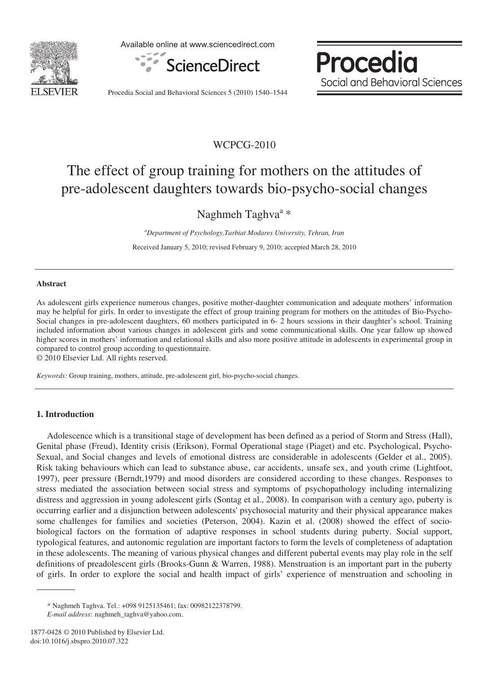

Available online at www.sciencedirect.com



Procedia Social and Behavioral Sciences

Procedia Social and Behavioral Sciences 5 (2010) 1540–1544

### WCPCG-2010

# The effect of group training for mothers on the attitudes of pre-adolescent daughters towards bio-psycho-social changes

Naghmeh Taghva<sup>a</sup>\*

*a Department of Psychology,Tarbiat Modares University, Tehran, Iran*  Received January 5, 2010; revised February 9, 2010; accepted March 28, 2010

#### **Abstract**

As adolescent girls experience numerous changes, positive mother-daughter communication and adequate mothers' information may be helpful for girls. In order to investigate the effect of group training program for mothers on the attitudes of Bio-Psycho-Social changes in pre-adolescent daughters, 60 mothers participated in 6- 2 hours sessions in their daughter's school. Training included information about various changes in adolescent girls and some communicational skills. One year fallow up showed higher scores in mothers' information and relational skills and also more positive attitude in adolescents in experimental group in compared to control group according to questionnaire.

© 2010 Elsevier Ltd. All rights reserved.

*Keywords:* Group training, mothers, attitude, pre-adolescent girl, bio-psycho-social changes.

#### **1. Introduction**

Adolescence which is a transitional stage of development has been defined as a period of Storm and Stress (Hall), Genital phase (Freud), Identity crisis (Erikson), Formal Operational stage (Piaget) and etc. Psychological, Psycho-Sexual, and Social changes and levels of emotional distress are considerable in adolescents (Gelder et al., 2005). Risk taking behaviours which can lead to substance abuse, car accidents, unsafe sex, and youth crime (Lightfoot, 1997), peer pressure (Berndt,1979) and mood disorders are considered according to these changes. Responses to stress mediated the association between social stress and symptoms of psychopathology including internalizing distress and aggression in young adolescent girls (Sontag et al., 2008). In comparison with a century ago, puberty is occurring earlier and a disjunction between adolescents' psychosocial maturity and their physical appearance makes some challenges for families and societies (Peterson, 2004). Kazin et al. (2008) showed the effect of sociobiological factors on the formation of adaptive responses in school students during puberty. Social support, typological features, and autonomic regulation are important factors to form the levels of completeness of adaptation in these adolescents. The meaning of various physical changes and different pubertal events may play role in the self definitions of preadolescent girls (Brooks-Gunn & Warren, 1988). Menstruation is an important part in the puberty of girls. In order to explore the social and health impact of girls' experience of menstruation and schooling in

<sup>\*</sup> Naghmeh Taghva. Tel.: +098 9125135461; fax: 00982122378799.

*E-mail address*: naghmeh\_taghva@yahoo.com.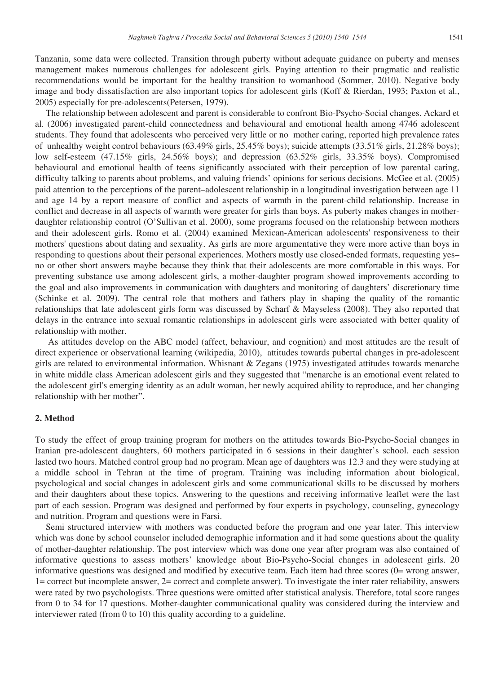Tanzania, some data were collected. Transition through puberty without adequate guidance on puberty and menses management makes numerous challenges for adolescent girls. Paying attention to their pragmatic and realistic recommendations would be important for the healthy transition to womanhood (Sommer, 2010). Negative body image and body dissatisfaction are also important topics for adolescent girls (Koff & Rierdan, 1993; Paxton et al., 2005) especially for pre-adolescents(Petersen, 1979).

The relationship between adolescent and parent is considerable to confront Bio-Psycho-Social changes. Ackard et al. (2006) investigated parent-child connectedness and behavioural and emotional health among 4746 adolescent students. They found that adolescents who perceived very little or no mother caring, reported high prevalence rates of unhealthy weight control behaviours (63.49% girls, 25.45% boys); suicide attempts (33.51% girls, 21.28% boys); low self-esteem (47.15% girls, 24.56% boys); and depression (63.52% girls, 33.35% boys). Compromised behavioural and emotional health of teens significantly associated with their perception of low parental caring, difficulty talking to parents about problems, and valuing friends' opinions for serious decisions. McGee et al. (2005) paid attention to the perceptions of the parent–adolescent relationship in a longitudinal investigation between age 11 and age 14 by a report measure of conflict and aspects of warmth in the parent-child relationship. Increase in conflict and decrease in all aspects of warmth were greater for girls than boys. As puberty makes changes in motherdaughter relationship control (O'Sullivan et al. 2000), some programs focused on the relationship between mothers and their adolescent girls. Romo et al. (2004) examined Mexican-American adolescents' responsiveness to their mothers' questions about dating and sexuality. As girls are more argumentative they were more active than boys in responding to questions about their personal experiences. Mothers mostly use closed-ended formats, requesting yes– no or other short answers maybe because they think that their adolescents are more comfortable in this ways. For preventing substance use among adolescent girls, a mother-daughter program showed improvements according to the goal and also improvements in communication with daughters and monitoring of daughters' discretionary time (Schinke et al. 2009). The central role that mothers and fathers play in shaping the quality of the romantic relationships that late adolescent girls form was discussed by Scharf & Mayseless (2008). They also reported that delays in the entrance into sexual romantic relationships in adolescent girls were associated with better quality of relationship with mother.

 As attitudes develop on the ABC model (affect, behaviour, and cognition) and most attitudes are the result of direct experience or observational learning (wikipedia, 2010), attitudes towards pubertal changes in pre-adolescent girls are related to environmental information. Whisnant  $&\&$  Zegans (1975) investigated attitudes towards menarche in white middle class American adolescent girls and they suggested that "menarche is an emotional event related to the adolescent girl's emerging identity as an adult woman, her newly acquired ability to reproduce, and her changing relationship with her mother".

### **2. Method**

To study the effect of group training program for mothers on the attitudes towards Bio-Psycho-Social changes in Iranian pre-adolescent daughters, 60 mothers participated in 6 sessions in their daughter's school. each session lasted two hours. Matched control group had no program. Mean age of daughters was 12.3 and they were studying at a middle school in Tehran at the time of program. Training was including information about biological, psychological and social changes in adolescent girls and some communicational skills to be discussed by mothers and their daughters about these topics. Answering to the questions and receiving informative leaflet were the last part of each session. Program was designed and performed by four experts in psychology, counseling, gynecology and nutrition. Program and questions were in Farsi.

Semi structured interview with mothers was conducted before the program and one year later. This interview which was done by school counselor included demographic information and it had some questions about the quality of mother-daughter relationship. The post interview which was done one year after program was also contained of informative questions to assess mothers' knowledge about Bio-Psycho-Social changes in adolescent girls. 20 informative questions was designed and modified by executive team. Each item had three scores (0= wrong answer, 1= correct but incomplete answer, 2= correct and complete answer). To investigate the inter rater reliability, answers were rated by two psychologists. Three questions were omitted after statistical analysis. Therefore, total score ranges from 0 to 34 for 17 questions. Mother-daughter communicational quality was considered during the interview and interviewer rated (from 0 to 10) this quality according to a guideline.